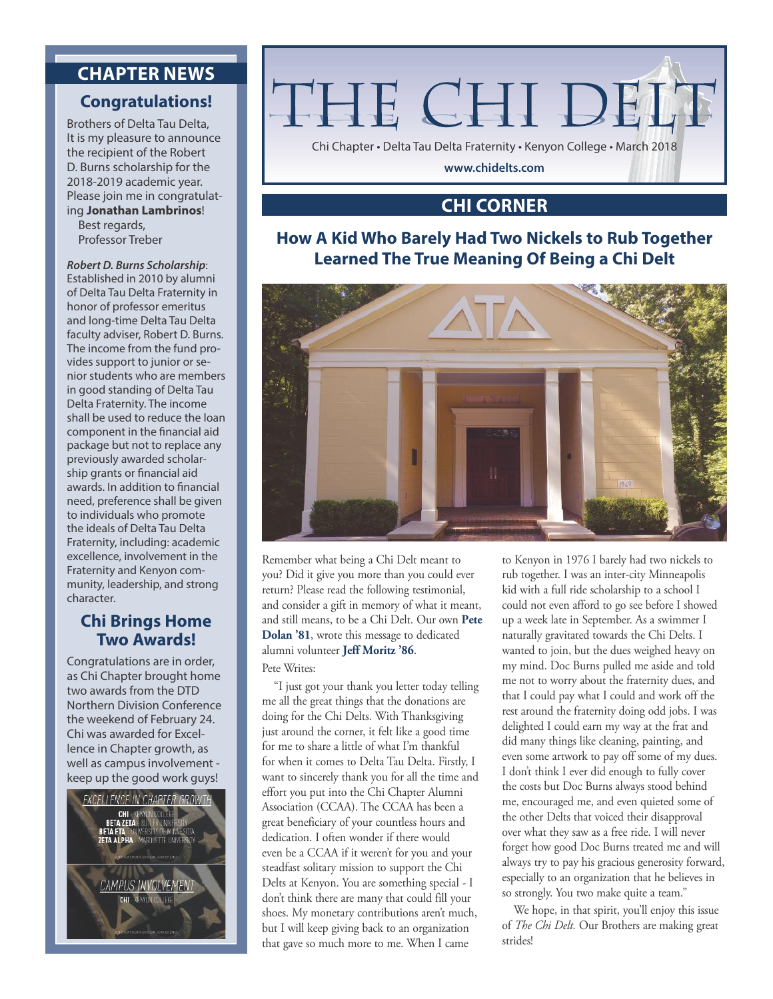# **CHAPTER NEWS**

#### **Congratulations!**

Brothers of Delta Tau Delta, It is my pleasure to announce the recipient of the Robert D. Burns scholarship for the 2018-2019 academic year. Please join me in congratulating **Jonathan Lambrinos**!

Best regards, Professor Treber

#### *Robert D. Burns Scholarship*:

Established in 2010 by alumni of Delta Tau Delta Fraternity in honor of professor emeritus and long-time Delta Tau Delta faculty adviser, Robert D. Burns. The income from the fund provides support to junior or senior students who are members in good standing of Delta Tau Delta Fraternity. The income shall be used to reduce the loan component in the financial aid package but not to replace any previously awarded scholarship grants or financial aid awards. In addition to financial need, preference shall be given to individuals who promote the ideals of Delta Tau Delta Fraternity, including: academic excellence, involvement in the Fraternity and Kenyon community, leadership, and strong character.

#### **Chi Brings Home Two Awards!**

Congratulations are in order, as Chi Chapter brought home two awards from the DTD Northern Division Conference the weekend of February 24. Chi was awarded for Excellence in Chapter growth, as well as campus involvement keep up the good work guys!





#### **CHI CORNER**

#### **How A Kid Who Barely Had Two Nickels to Rub Together Learned The True Meaning Of Being a Chi Delt**



Remember what being a Chi Delt meant to you? Did it give you more than you could ever return? Please read the following testimonial, and consider a gift in memory of what it meant, and still means, to be a Chi Delt. Our own **Pete Dolan '81**, wrote this message to dedicated alumni volunteer **Jeff Moritz '86**.

#### Pete Writes:

"I just got your thank you letter today telling me all the great things that the donations are doing for the Chi Delts. With Thanksgiving just around the corner, it felt like a good time for me to share a little of what I'm thankful for when it comes to Delta Tau Delta. Firstly, I want to sincerely thank you for all the time and effort you put into the Chi Chapter Alumni Association (CCAA). The CCAA has been a great beneficiary of your countless hours and dedication. I often wonder if there would even be a CCAA if it weren't for you and your steadfast solitary mission to support the Chi Delts at Kenyon. You are something special - I don't think there are many that could fill your shoes. My monetary contributions aren't much, but I will keep giving back to an organization that gave so much more to me. When I came

to Kenyon in 1976 I barely had two nickels to rub together. I was an inter-city Minneapolis kid with a full ride scholarship to a school I could not even afford to go see before I showed up a week late in September. As a swimmer I naturally gravitated towards the Chi Delts. I wanted to join, but the dues weighed heavy on my mind. Doc Burns pulled me aside and told me not to worry about the fraternity dues, and that I could pay what I could and work off the rest around the fraternity doing odd jobs. I was delighted I could earn my way at the frat and did many things like cleaning, painting, and even some artwork to pay off some of my dues. I don't think I ever did enough to fully cover the costs but Doc Burns always stood behind me, encouraged me, and even quieted some of the other Delts that voiced their disapproval over what they saw as a free ride. I will never forget how good Doc Burns treated me and will always try to pay his gracious generosity forward, especially to an organization that he believes in so strongly. You two make quite a team."

We hope, in that spirit, you'll enjoy this issue of *The Chi Delt.* Our Brothers are making great strides!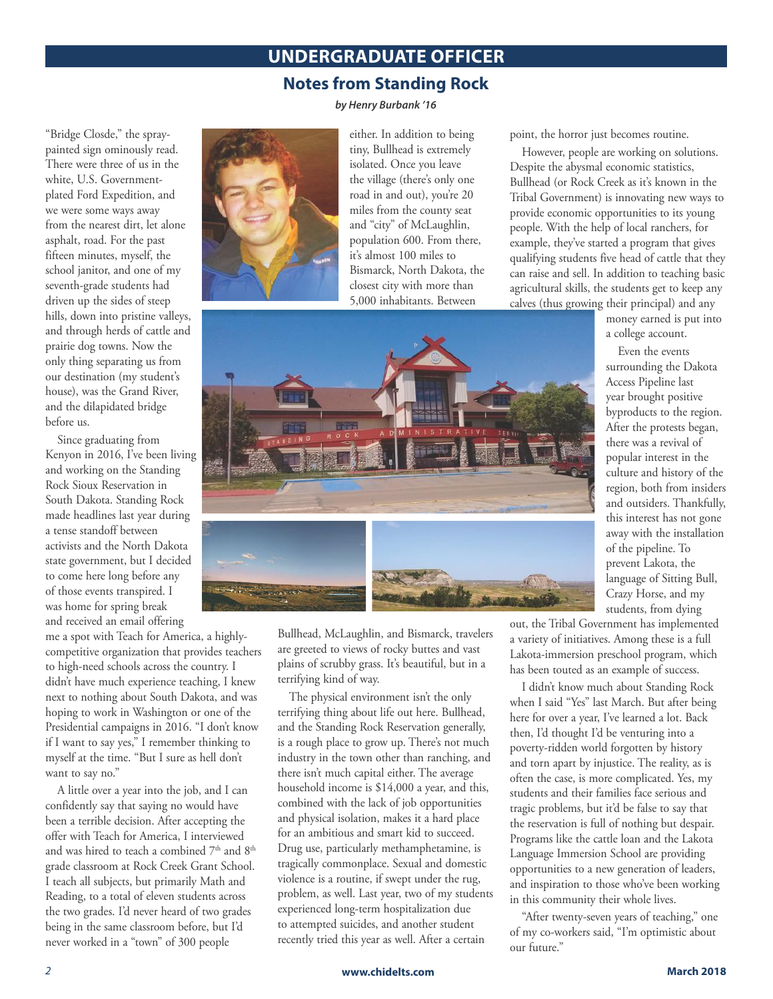## **UNDERGRADUATE OFFICER**

#### **Notes from Standing Rock**

*by Henry Burbank '16*

"Bridge Closde," the spraypainted sign ominously read. There were three of us in the white, U.S. Governmentplated Ford Expedition, and we were some ways away from the nearest dirt, let alone asphalt, road. For the past fifteen minutes, myself, the school janitor, and one of my seventh-grade students had driven up the sides of steep hills, down into pristine valleys, and through herds of cattle and prairie dog towns. Now the only thing separating us from our destination (my student's house), was the Grand River, and the dilapidated bridge before us.

Since graduating from Kenyon in 2016, I've been living and working on the Standing Rock Sioux Reservation in South Dakota. Standing Rock made headlines last year during a tense standoff between activists and the North Dakota state government, but I decided to come here long before any of those events transpired. I was home for spring break and received an email offering

me a spot with Teach for America, a highlycompetitive organization that provides teachers to high-need schools across the country. I didn't have much experience teaching, I knew next to nothing about South Dakota, and was hoping to work in Washington or one of the Presidential campaigns in 2016. "I don't know if I want to say yes," I remember thinking to myself at the time. "But I sure as hell don't want to say no."

A little over a year into the job, and I can confidently say that saying no would have been a terrible decision. After accepting the offer with Teach for America, I interviewed and was hired to teach a combined  $7<sup>th</sup>$  and  $8<sup>th</sup>$ grade classroom at Rock Creek Grant School. I teach all subjects, but primarily Math and Reading, to a total of eleven students across the two grades. I'd never heard of two grades being in the same classroom before, but I'd never worked in a "town" of 300 people



either. In addition to being tiny, Bullhead is extremely isolated. Once you leave the village (there's only one road in and out), you're 20 miles from the county seat and "city" of McLaughlin, population 600. From there, it's almost 100 miles to Bismarck, North Dakota, the closest city with more than 5,000 inhabitants. Between

point, the horror just becomes routine.

However, people are working on solutions. Despite the abysmal economic statistics, Bullhead (or Rock Creek as it's known in the Tribal Government) is innovating new ways to provide economic opportunities to its young people. With the help of local ranchers, for example, they've started a program that gives qualifying students five head of cattle that they can raise and sell. In addition to teaching basic agricultural skills, the students get to keep any calves (thus growing their principal) and any

> money earned is put into a college account.

Even the events surrounding the Dakota Access Pipeline last year brought positive byproducts to the region. After the protests began, there was a revival of popular interest in the culture and history of the region, both from insiders and outsiders. Thankfully, this interest has not gone away with the installation of the pipeline. To prevent Lakota, the language of Sitting Bull, Crazy Horse, and my students, from dying

Bullhead, McLaughlin, and Bismarck, travelers are greeted to views of rocky buttes and vast plains of scrubby grass. It's beautiful, but in a terrifying kind of way.

The physical environment isn't the only terrifying thing about life out here. Bullhead, and the Standing Rock Reservation generally, is a rough place to grow up. There's not much industry in the town other than ranching, and there isn't much capital either. The average household income is \$14,000 a year, and this, combined with the lack of job opportunities and physical isolation, makes it a hard place for an ambitious and smart kid to succeed. Drug use, particularly methamphetamine, is tragically commonplace. Sexual and domestic violence is a routine, if swept under the rug, problem, as well. Last year, two of my students experienced long-term hospitalization due to attempted suicides, and another student recently tried this year as well. After a certain

out, the Tribal Government has implemented a variety of initiatives. Among these is a full Lakota-immersion preschool program, which has been touted as an example of success.

I didn't know much about Standing Rock when I said "Yes" last March. But after being here for over a year, I've learned a lot. Back then, I'd thought I'd be venturing into a poverty-ridden world forgotten by history and torn apart by injustice. The reality, as is often the case, is more complicated. Yes, my students and their families face serious and tragic problems, but it'd be false to say that the reservation is full of nothing but despair. Programs like the cattle loan and the Lakota Language Immersion School are providing opportunities to a new generation of leaders, and inspiration to those who've been working in this community their whole lives.

"After twenty-seven years of teaching," one of my co-workers said, "I'm optimistic about our future."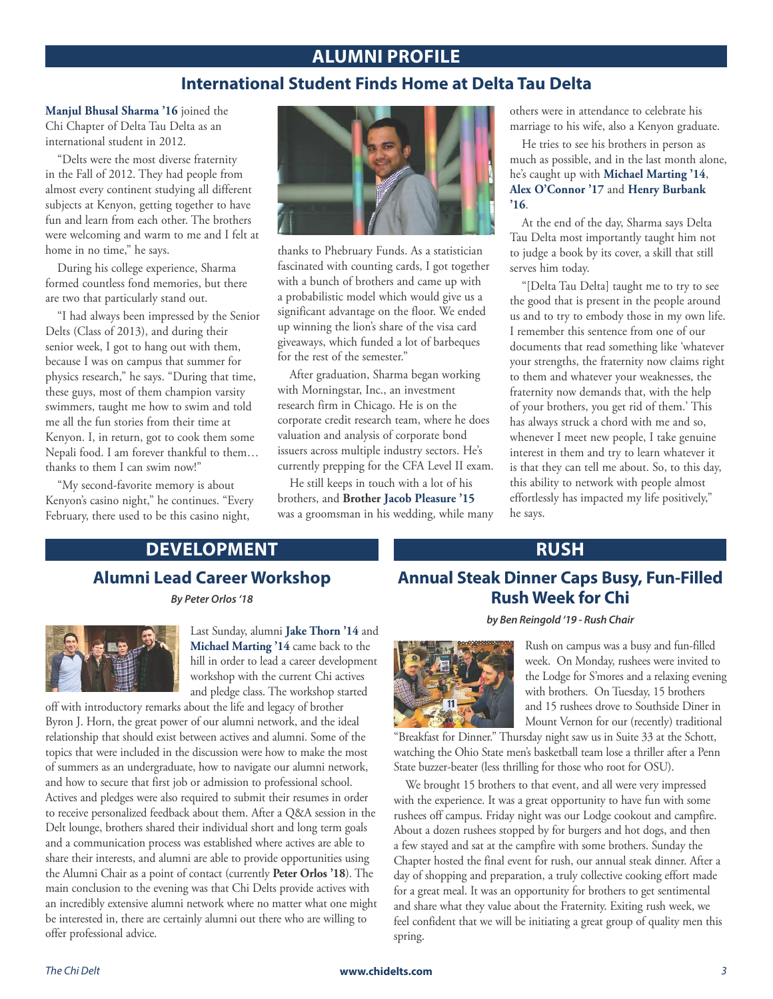#### **ALUMNI PROFILE**

#### **International Student Finds Home at Delta Tau Delta**

**Manjul Bhusal Sharma '16** joined the Chi Chapter of Delta Tau Delta as an international student in 2012.

"Delts were the most diverse fraternity in the Fall of 2012. They had people from almost every continent studying all different subjects at Kenyon, getting together to have fun and learn from each other. The brothers were welcoming and warm to me and I felt at home in no time," he says.

During his college experience, Sharma formed countless fond memories, but there are two that particularly stand out.

"I had always been impressed by the Senior Delts (Class of 2013), and during their senior week, I got to hang out with them, because I was on campus that summer for physics research," he says. "During that time, these guys, most of them champion varsity swimmers, taught me how to swim and told me all the fun stories from their time at Kenyon. I, in return, got to cook them some Nepali food. I am forever thankful to them… thanks to them I can swim now!"

"My second-favorite memory is about Kenyon's casino night," he continues. "Every February, there used to be this casino night,



thanks to Phebruary Funds. As a statistician fascinated with counting cards, I got together with a bunch of brothers and came up with a probabilistic model which would give us a significant advantage on the floor. We ended up winning the lion's share of the visa card giveaways, which funded a lot of barbeques for the rest of the semester."

After graduation, Sharma began working with Morningstar, Inc., an investment research firm in Chicago. He is on the corporate credit research team, where he does valuation and analysis of corporate bond issuers across multiple industry sectors. He's currently prepping for the CFA Level II exam.

He still keeps in touch with a lot of his brothers, and **Brother Jacob Pleasure '15** was a groomsman in his wedding, while many others were in attendance to celebrate his marriage to his wife, also a Kenyon graduate.

He tries to see his brothers in person as much as possible, and in the last month alone, he's caught up with **Michael Marting '14**, **Alex O'Connor '17** and **Henry Burbank '16**.

At the end of the day, Sharma says Delta Tau Delta most importantly taught him not to judge a book by its cover, a skill that still serves him today.

"[Delta Tau Delta] taught me to try to see the good that is present in the people around us and to try to embody those in my own life. I remember this sentence from one of our documents that read something like 'whatever your strengths, the fraternity now claims right to them and whatever your weaknesses, the fraternity now demands that, with the help of your brothers, you get rid of them.' This has always struck a chord with me and so, whenever I meet new people, I take genuine interest in them and try to learn whatever it is that they can tell me about. So, to this day, this ability to network with people almost effortlessly has impacted my life positively," he says.

# **DEVELOPMENT**

# **Alumni Lead Career Workshop**

*By Peter Orlos '18*



Last Sunday, alumni **Jake Thorn '14** and **Michael Marting '14** came back to the hill in order to lead a career development workshop with the current Chi actives and pledge class. The workshop started

off with introductory remarks about the life and legacy of brother Byron J. Horn, the great power of our alumni network, and the ideal relationship that should exist between actives and alumni. Some of the topics that were included in the discussion were how to make the most of summers as an undergraduate, how to navigate our alumni network, and how to secure that first job or admission to professional school. Actives and pledges were also required to submit their resumes in order to receive personalized feedback about them. After a Q&A session in the Delt lounge, brothers shared their individual short and long term goals and a communication process was established where actives are able to share their interests, and alumni are able to provide opportunities using the Alumni Chair as a point of contact (currently **Peter Orlos '18**). The main conclusion to the evening was that Chi Delts provide actives with an incredibly extensive alumni network where no matter what one might be interested in, there are certainly alumni out there who are willing to offer professional advice.

# **RUSH**

# **Annual Steak Dinner Caps Busy, Fun-Filled Rush Week for Chi**

#### *by Ben Reingold '19 - Rush Chair*



Rush on campus was a busy and fun-filled week. On Monday, rushees were invited to the Lodge for S'mores and a relaxing evening with brothers. On Tuesday, 15 brothers and 15 rushees drove to Southside Diner in Mount Vernon for our (recently) traditional

"Breakfast for Dinner." Thursday night saw us in Suite 33 at the Schott, watching the Ohio State men's basketball team lose a thriller after a Penn State buzzer-beater (less thrilling for those who root for OSU).

We brought 15 brothers to that event, and all were very impressed with the experience. It was a great opportunity to have fun with some rushees off campus. Friday night was our Lodge cookout and campfire. About a dozen rushees stopped by for burgers and hot dogs, and then a few stayed and sat at the campfire with some brothers. Sunday the Chapter hosted the final event for rush, our annual steak dinner. After a day of shopping and preparation, a truly collective cooking effort made for a great meal. It was an opportunity for brothers to get sentimental and share what they value about the Fraternity. Exiting rush week, we feel confident that we will be initiating a great group of quality men this spring.